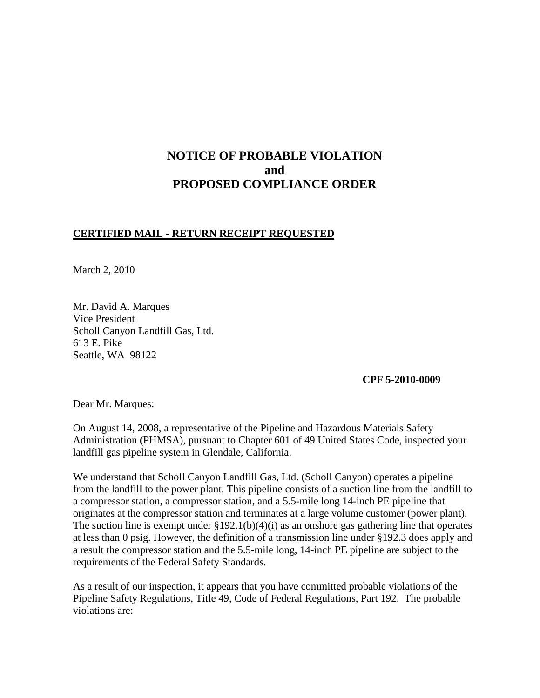# **NOTICE OF PROBABLE VIOLATION and PROPOSED COMPLIANCE ORDER**

#### **CERTIFIED MAIL - RETURN RECEIPT REQUESTED**

March 2, 2010

Mr. David A. Marques Vice President Scholl Canyon Landfill Gas, Ltd. 613 E. Pike Seattle, WA 98122

 **CPF 5-2010-0009**

Dear Mr. Marques:

On August 14, 2008, a representative of the Pipeline and Hazardous Materials Safety Administration (PHMSA), pursuant to Chapter 601 of 49 United States Code, inspected your landfill gas pipeline system in Glendale, California.

We understand that Scholl Canyon Landfill Gas, Ltd. (Scholl Canyon) operates a pipeline from the landfill to the power plant. This pipeline consists of a suction line from the landfill to a compressor station, a compressor station, and a 5.5-mile long 14-inch PE pipeline that originates at the compressor station and terminates at a large volume customer (power plant). The suction line is exempt under  $\S 192.1(b)(4)(i)$  as an onshore gas gathering line that operates at less than 0 psig. However, the definition of a transmission line under §192.3 does apply and a result the compressor station and the 5.5-mile long, 14-inch PE pipeline are subject to the requirements of the Federal Safety Standards.

As a result of our inspection, it appears that you have committed probable violations of the Pipeline Safety Regulations, Title 49, Code of Federal Regulations, Part 192. The probable violations are: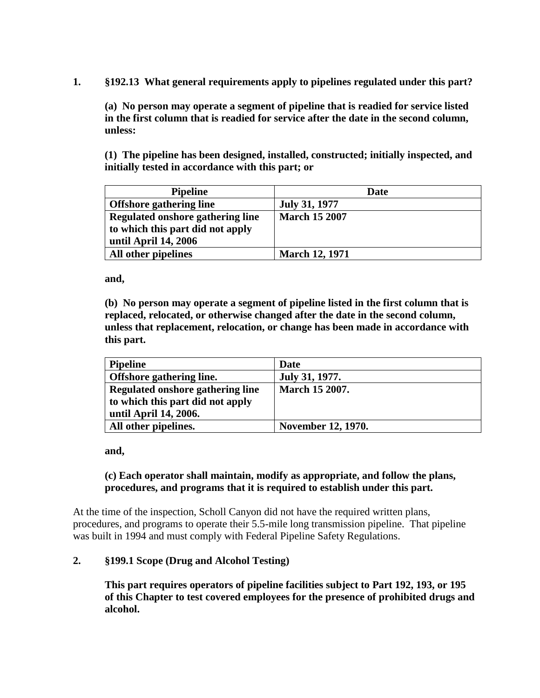**1. §192.13 What general requirements apply to pipelines regulated under this part?**

**(a) No person may operate a segment of pipeline that is readied for service listed in the first column that is readied for service after the date in the second column, unless:**

**(1) The pipeline has been designed, installed, constructed; initially inspected, and initially tested in accordance with this part; or**

| <b>Pipeline</b>                   | Date                  |
|-----------------------------------|-----------------------|
| <b>Offshore gathering line</b>    | <b>July 31, 1977</b>  |
| Regulated on shore gathering line | <b>March 15 2007</b>  |
| to which this part did not apply  |                       |
| until April 14, 2006              |                       |
| All other pipelines               | <b>March 12, 1971</b> |

**and,**

**(b) No person may operate a segment of pipeline listed in the first column that is replaced, relocated, or otherwise changed after the date in the second column, unless that replacement, relocation, or change has been made in accordance with this part.**

| <b>Pipeline</b>                   | Date                  |
|-----------------------------------|-----------------------|
| Offshore gathering line.          | July 31, 1977.        |
| Regulated on shore gathering line | <b>March 15 2007.</b> |
| to which this part did not apply  |                       |
| until April 14, 2006.             |                       |
| All other pipelines.              | November 12, 1970.    |

**and,**

# **(c) Each operator shall maintain, modify as appropriate, and follow the plans, procedures, and programs that it is required to establish under this part.**

At the time of the inspection, Scholl Canyon did not have the required written plans, procedures, and programs to operate their 5.5-mile long transmission pipeline. That pipeline was built in 1994 and must comply with Federal Pipeline Safety Regulations.

# **2. §199.1 Scope (Drug and Alcohol Testing)**

**This part requires operators of pipeline facilities subject to Part 192, 193, or 195 of this Chapter to test covered employees for the presence of prohibited drugs and alcohol.**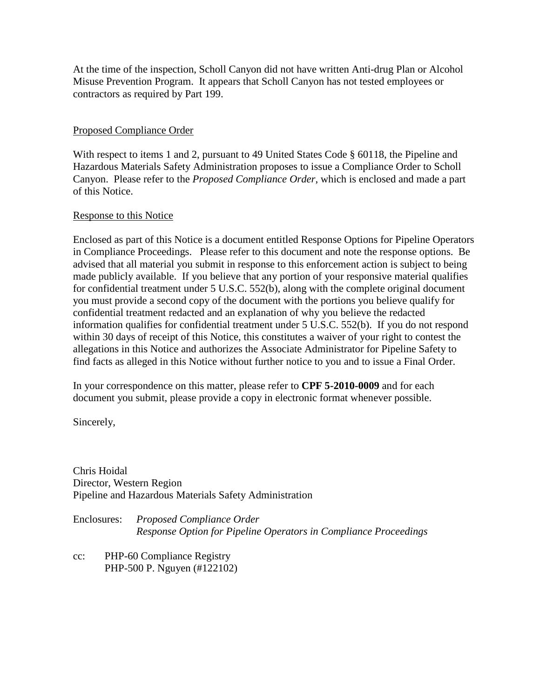At the time of the inspection, Scholl Canyon did not have written Anti-drug Plan or Alcohol Misuse Prevention Program. It appears that Scholl Canyon has not tested employees or contractors as required by Part 199.

## Proposed Compliance Order

With respect to items 1 and 2, pursuant to 49 United States Code § 60118, the Pipeline and Hazardous Materials Safety Administration proposes to issue a Compliance Order to Scholl Canyon. Please refer to the *Proposed Compliance Order*, which is enclosed and made a part of this Notice.

#### Response to this Notice

Enclosed as part of this Notice is a document entitled Response Options for Pipeline Operators in Compliance Proceedings. Please refer to this document and note the response options. Be advised that all material you submit in response to this enforcement action is subject to being made publicly available. If you believe that any portion of your responsive material qualifies for confidential treatment under 5 U.S.C. 552(b), along with the complete original document you must provide a second copy of the document with the portions you believe qualify for confidential treatment redacted and an explanation of why you believe the redacted information qualifies for confidential treatment under 5 U.S.C. 552(b). If you do not respond within 30 days of receipt of this Notice, this constitutes a waiver of your right to contest the allegations in this Notice and authorizes the Associate Administrator for Pipeline Safety to find facts as alleged in this Notice without further notice to you and to issue a Final Order.

In your correspondence on this matter, please refer to **CPF 5-2010-0009** and for each document you submit, please provide a copy in electronic format whenever possible.

Sincerely,

Chris Hoidal Director, Western Region Pipeline and Hazardous Materials Safety Administration

Enclosures: *Proposed Compliance Order Response Option for Pipeline Operators in Compliance Proceedings*

cc: PHP-60 Compliance Registry PHP-500 P. Nguyen (#122102)